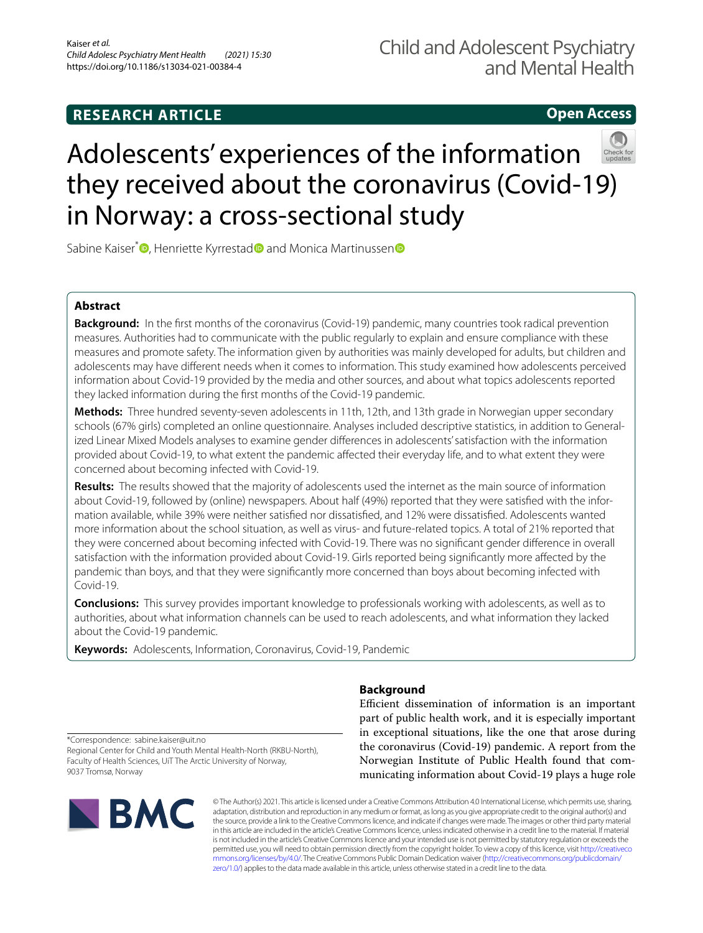# **Open Access**



# Adolescents' experiences of the information they received about the coronavirus (Covid-19) in Norway: a cross-sectional study

Sabine Kaiser<sup>\*</sup><sup>1</sup>[,](http://orcid.org/0000-0002-2081-7734) Henriette Kyrresta[d](http://orcid.org/0000-0003-1515-6502)<sup>1</sup> a[n](http://orcid.org/0000-0002-0937-1479)d Monica Martinussen<sup>1</sup>

## **Abstract**

**Background:** In the frst months of the coronavirus (Covid-19) pandemic, many countries took radical prevention measures. Authorities had to communicate with the public regularly to explain and ensure compliance with these measures and promote safety. The information given by authorities was mainly developed for adults, but children and adolescents may have diferent needs when it comes to information. This study examined how adolescents perceived information about Covid-19 provided by the media and other sources, and about what topics adolescents reported they lacked information during the frst months of the Covid-19 pandemic.

**Methods:** Three hundred seventy-seven adolescents in 11th, 12th, and 13th grade in Norwegian upper secondary schools (67% girls) completed an online questionnaire. Analyses included descriptive statistics, in addition to Generalized Linear Mixed Models analyses to examine gender diferences in adolescents' satisfaction with the information provided about Covid-19, to what extent the pandemic afected their everyday life, and to what extent they were concerned about becoming infected with Covid-19.

**Results:** The results showed that the majority of adolescents used the internet as the main source of information about Covid-19, followed by (online) newspapers. About half (49%) reported that they were satisfied with the information available, while 39% were neither satisfed nor dissatisfed, and 12% were dissatisfed. Adolescents wanted more information about the school situation, as well as virus- and future-related topics. A total of 21% reported that they were concerned about becoming infected with Covid-19. There was no signifcant gender diference in overall satisfaction with the information provided about Covid-19. Girls reported being signifcantly more afected by the pandemic than boys, and that they were signifcantly more concerned than boys about becoming infected with Covid-19.

**Conclusions:** This survey provides important knowledge to professionals working with adolescents, as well as to authorities, about what information channels can be used to reach adolescents, and what information they lacked about the Covid-19 pandemic.

**Keywords:** Adolescents, Information, Coronavirus, Covid-19, Pandemic

# **Background**

Efficient dissemination of information is an important part of public health work, and it is especially important in exceptional situations, like the one that arose during the coronavirus (Covid-19) pandemic. A report from the Norwegian Institute of Public Health found that communicating information about Covid-19 plays a huge role

\*Correspondence: sabine.kaiser@uit.no Regional Center for Child and Youth Mental Health-North (RKBU-North), Faculty of Health Sciences, UiT The Arctic University of Norway, 9037 Tromsø, Norway



© The Author(s) 2021. This article is licensed under a Creative Commons Attribution 4.0 International License, which permits use, sharing, adaptation, distribution and reproduction in any medium or format, as long as you give appropriate credit to the original author(s) and the source, provide a link to the Creative Commons licence, and indicate if changes were made. The images or other third party material in this article are included in the article's Creative Commons licence, unless indicated otherwise in a credit line to the material. If material is not included in the article's Creative Commons licence and your intended use is not permitted by statutory regulation or exceeds the permitted use, you will need to obtain permission directly from the copyright holder. To view a copy of this licence, visit [http://creativeco](http://creativecommons.org/licenses/by/4.0/) [mmons.org/licenses/by/4.0/.](http://creativecommons.org/licenses/by/4.0/) The Creative Commons Public Domain Dedication waiver ([http://creativecommons.org/publicdomain/](http://creativecommons.org/publicdomain/zero/1.0/) [zero/1.0/\)](http://creativecommons.org/publicdomain/zero/1.0/) applies to the data made available in this article, unless otherwise stated in a credit line to the data.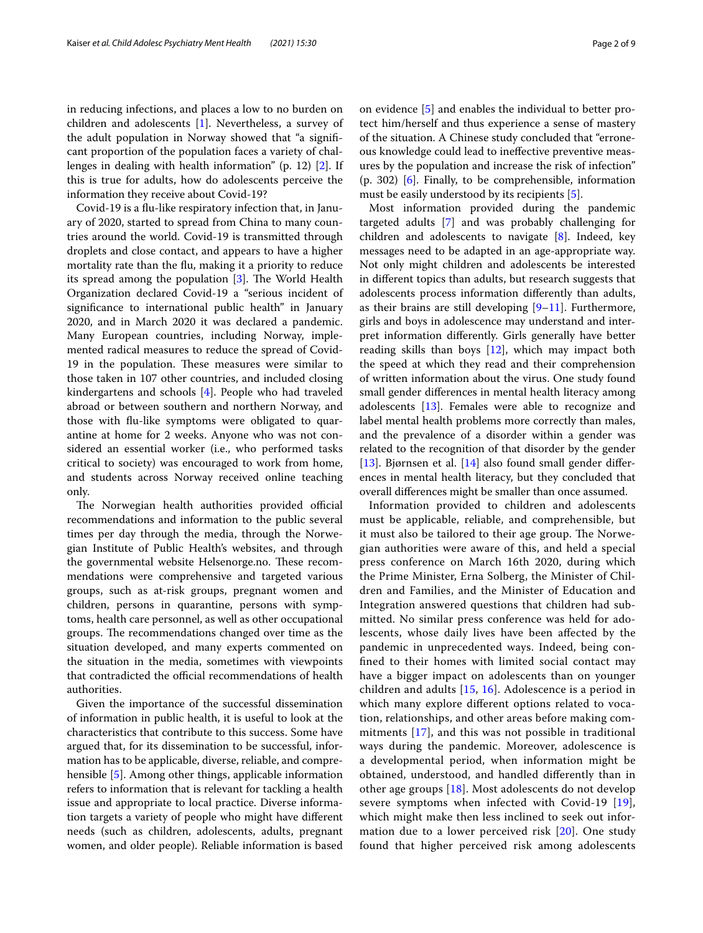in reducing infections, and places a low to no burden on children and adolescents [[1\]](#page-7-0). Nevertheless, a survey of the adult population in Norway showed that "a signifcant proportion of the population faces a variety of challenges in dealing with health information" (p. 12) [[2](#page-8-0)]. If this is true for adults, how do adolescents perceive the information they receive about Covid-19?

Covid-19 is a fu-like respiratory infection that, in January of 2020, started to spread from China to many countries around the world. Covid-19 is transmitted through droplets and close contact, and appears to have a higher mortality rate than the fu, making it a priority to reduce its spread among the population  $[3]$  $[3]$ . The World Health Organization declared Covid-19 a "serious incident of signifcance to international public health" in January 2020, and in March 2020 it was declared a pandemic. Many European countries, including Norway, implemented radical measures to reduce the spread of Covid-19 in the population. These measures were similar to those taken in 107 other countries, and included closing kindergartens and schools [[4\]](#page-8-2). People who had traveled abroad or between southern and northern Norway, and those with fu-like symptoms were obligated to quarantine at home for 2 weeks. Anyone who was not considered an essential worker (i.e., who performed tasks critical to society) was encouraged to work from home, and students across Norway received online teaching only.

The Norwegian health authorities provided official recommendations and information to the public several times per day through the media, through the Norwegian Institute of Public Health's websites, and through the governmental website Helsenorge.no. These recommendations were comprehensive and targeted various groups, such as at-risk groups, pregnant women and children, persons in quarantine, persons with symptoms, health care personnel, as well as other occupational groups. The recommendations changed over time as the situation developed, and many experts commented on the situation in the media, sometimes with viewpoints that contradicted the official recommendations of health authorities.

Given the importance of the successful dissemination of information in public health, it is useful to look at the characteristics that contribute to this success. Some have argued that, for its dissemination to be successful, information has to be applicable, diverse, reliable, and comprehensible [\[5](#page-8-3)]. Among other things, applicable information refers to information that is relevant for tackling a health issue and appropriate to local practice. Diverse information targets a variety of people who might have diferent needs (such as children, adolescents, adults, pregnant women, and older people). Reliable information is based on evidence [\[5](#page-8-3)] and enables the individual to better protect him/herself and thus experience a sense of mastery of the situation. A Chinese study concluded that "erroneous knowledge could lead to inefective preventive measures by the population and increase the risk of infection" (p. 302) [[6\]](#page-8-4). Finally, to be comprehensible, information must be easily understood by its recipients [[5\]](#page-8-3).

Most information provided during the pandemic targeted adults [[7](#page-8-5)] and was probably challenging for children and adolescents to navigate [[8\]](#page-8-6). Indeed, key messages need to be adapted in an age-appropriate way. Not only might children and adolescents be interested in diferent topics than adults, but research suggests that adolescents process information diferently than adults, as their brains are still developing  $[9-11]$  $[9-11]$ . Furthermore, girls and boys in adolescence may understand and interpret information diferently. Girls generally have better reading skills than boys [\[12](#page-8-9)], which may impact both the speed at which they read and their comprehension of written information about the virus. One study found small gender diferences in mental health literacy among adolescents [\[13](#page-8-10)]. Females were able to recognize and label mental health problems more correctly than males, and the prevalence of a disorder within a gender was related to the recognition of that disorder by the gender [[13\]](#page-8-10). Bjørnsen et al. [[14](#page-8-11)] also found small gender diferences in mental health literacy, but they concluded that overall diferences might be smaller than once assumed.

Information provided to children and adolescents must be applicable, reliable, and comprehensible, but it must also be tailored to their age group. The Norwegian authorities were aware of this, and held a special press conference on March 16th 2020, during which the Prime Minister, Erna Solberg, the Minister of Children and Families, and the Minister of Education and Integration answered questions that children had submitted. No similar press conference was held for adolescents, whose daily lives have been afected by the pandemic in unprecedented ways. Indeed, being confned to their homes with limited social contact may have a bigger impact on adolescents than on younger children and adults [[15](#page-8-12), [16](#page-8-13)]. Adolescence is a period in which many explore diferent options related to vocation, relationships, and other areas before making commitments [[17\]](#page-8-14), and this was not possible in traditional ways during the pandemic. Moreover, adolescence is a developmental period, when information might be obtained, understood, and handled diferently than in other age groups [\[18\]](#page-8-15). Most adolescents do not develop severe symptoms when infected with Covid-[19](#page-8-16) [19], which might make then less inclined to seek out information due to a lower perceived risk [\[20](#page-8-17)]. One study found that higher perceived risk among adolescents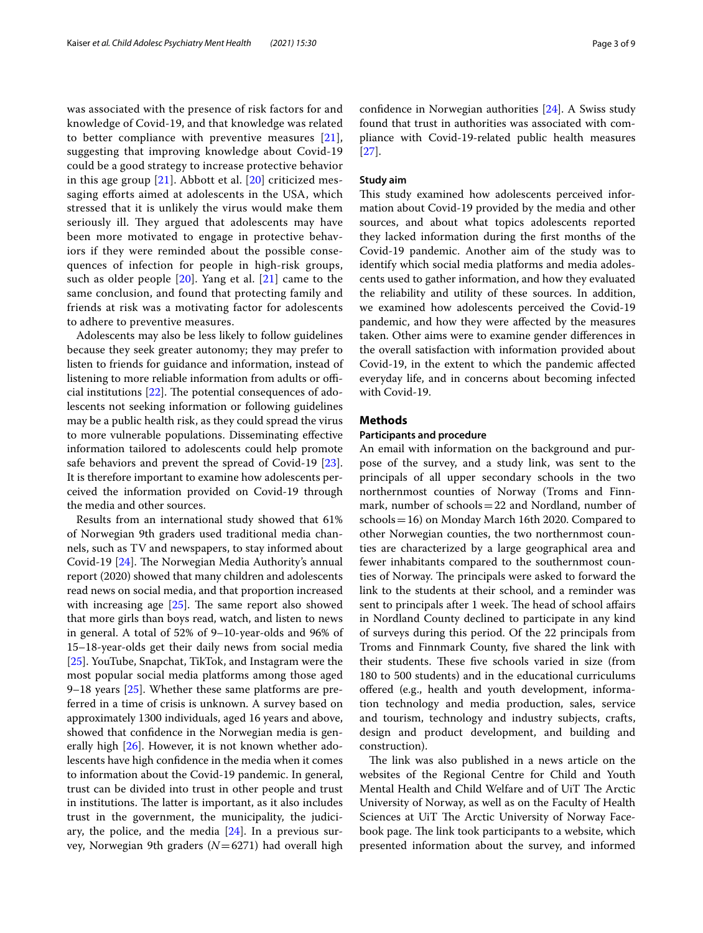was associated with the presence of risk factors for and knowledge of Covid-19, and that knowledge was related to better compliance with preventive measures [[21\]](#page-8-18), suggesting that improving knowledge about Covid-19 could be a good strategy to increase protective behavior in this age group [[21\]](#page-8-18). Abbott et al. [\[20](#page-8-17)] criticized messaging efforts aimed at adolescents in the USA, which stressed that it is unlikely the virus would make them seriously ill. They argued that adolescents may have been more motivated to engage in protective behaviors if they were reminded about the possible consequences of infection for people in high-risk groups, such as older people [[20\]](#page-8-17). Yang et al. [[21\]](#page-8-18) came to the same conclusion, and found that protecting family and friends at risk was a motivating factor for adolescents to adhere to preventive measures.

Adolescents may also be less likely to follow guidelines because they seek greater autonomy; they may prefer to listen to friends for guidance and information, instead of listening to more reliable information from adults or official institutions  $[22]$  $[22]$ . The potential consequences of adolescents not seeking information or following guidelines may be a public health risk, as they could spread the virus to more vulnerable populations. Disseminating efective information tailored to adolescents could help promote safe behaviors and prevent the spread of Covid-19 [\[23](#page-8-20)]. It is therefore important to examine how adolescents perceived the information provided on Covid-19 through the media and other sources.

Results from an international study showed that 61% of Norwegian 9th graders used traditional media channels, such as TV and newspapers, to stay informed about Covid-19 [[24](#page-8-21)]. The Norwegian Media Authority's annual report (2020) showed that many children and adolescents read news on social media, and that proportion increased with increasing age  $[25]$  $[25]$ . The same report also showed that more girls than boys read, watch, and listen to news in general. A total of 52% of 9–10-year-olds and 96% of 15–18-year-olds get their daily news from social media [[25\]](#page-8-22). YouTube, Snapchat, TikTok, and Instagram were the most popular social media platforms among those aged 9–18 years  $[25]$ . Whether these same platforms are preferred in a time of crisis is unknown. A survey based on approximately 1300 individuals, aged 16 years and above, showed that confdence in the Norwegian media is gen-erally high [\[26\]](#page-8-23). However, it is not known whether adolescents have high confdence in the media when it comes to information about the Covid-19 pandemic. In general, trust can be divided into trust in other people and trust in institutions. The latter is important, as it also includes trust in the government, the municipality, the judiciary, the police, and the media  $[24]$  $[24]$  $[24]$ . In a previous survey, Norwegian 9th graders (*N*=6271) had overall high confdence in Norwegian authorities [[24](#page-8-21)]. A Swiss study found that trust in authorities was associated with compliance with Covid-19-related public health measures [[27\]](#page-8-24).

#### **Study aim**

This study examined how adolescents perceived information about Covid-19 provided by the media and other sources, and about what topics adolescents reported they lacked information during the frst months of the Covid-19 pandemic. Another aim of the study was to identify which social media platforms and media adolescents used to gather information, and how they evaluated the reliability and utility of these sources. In addition, we examined how adolescents perceived the Covid-19 pandemic, and how they were afected by the measures taken. Other aims were to examine gender diferences in the overall satisfaction with information provided about Covid-19, in the extent to which the pandemic afected everyday life, and in concerns about becoming infected with Covid-19.

#### **Methods**

#### **Participants and procedure**

An email with information on the background and purpose of the survey, and a study link, was sent to the principals of all upper secondary schools in the two northernmost counties of Norway (Troms and Finnmark, number of schools=22 and Nordland, number of schools=16) on Monday March 16th 2020. Compared to other Norwegian counties, the two northernmost counties are characterized by a large geographical area and fewer inhabitants compared to the southernmost counties of Norway. The principals were asked to forward the link to the students at their school, and a reminder was sent to principals after 1 week. The head of school affairs in Nordland County declined to participate in any kind of surveys during this period. Of the 22 principals from Troms and Finnmark County, fve shared the link with their students. These five schools varied in size (from 180 to 500 students) and in the educational curriculums ofered (e.g., health and youth development, information technology and media production, sales, service and tourism, technology and industry subjects, crafts, design and product development, and building and construction).

The link was also published in a news article on the websites of the Regional Centre for Child and Youth Mental Health and Child Welfare and of UiT The Arctic University of Norway, as well as on the Faculty of Health Sciences at UiT The Arctic University of Norway Facebook page. The link took participants to a website, which presented information about the survey, and informed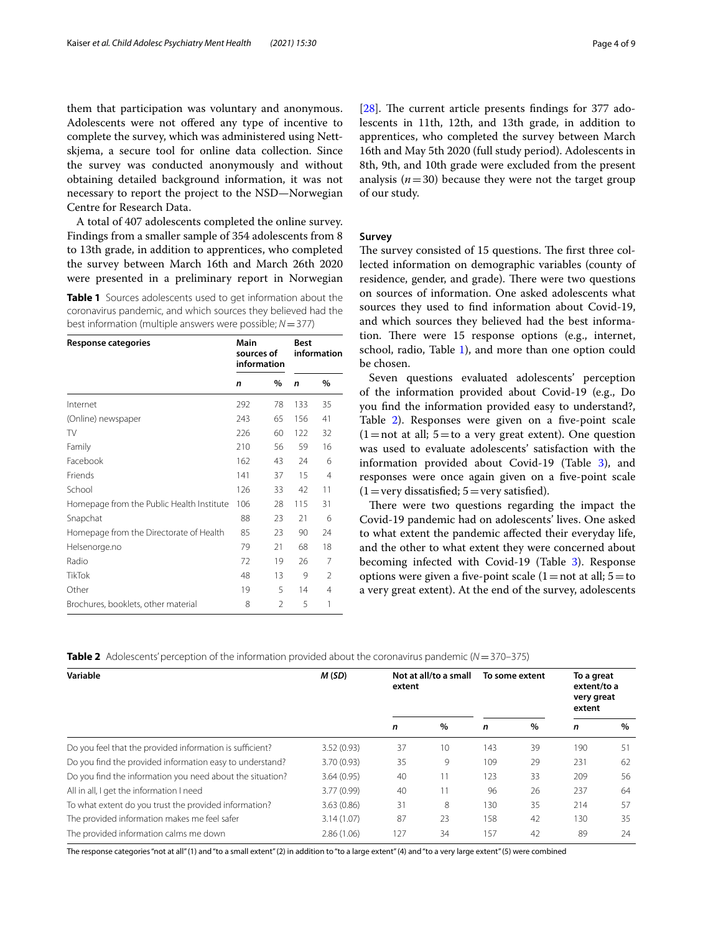them that participation was voluntary and anonymous. Adolescents were not ofered any type of incentive to complete the survey, which was administered using Nettskjema, a secure tool for online data collection. Since the survey was conducted anonymously and without obtaining detailed background information, it was not necessary to report the project to the NSD—Norwegian Centre for Research Data.

A total of 407 adolescents completed the online survey. Findings from a smaller sample of 354 adolescents from 8 to 13th grade, in addition to apprentices, who completed the survey between March 16th and March 26th 2020 were presented in a preliminary report in Norwegian

<span id="page-3-0"></span>**Table 1** Sources adolescents used to get information about the coronavirus pandemic, and which sources they believed had the best information (multiple answers were possible; *N*=377)

| Response categories                       |     | Main<br>sources of<br>information |              | <b>Best</b><br>information |  |  |
|-------------------------------------------|-----|-----------------------------------|--------------|----------------------------|--|--|
|                                           | n   | %                                 | $\mathsf{n}$ | $\%$                       |  |  |
| Internet                                  | 292 | 78                                | 133          | 35                         |  |  |
| (Online) newspaper                        | 243 | 65                                | 156          | 41                         |  |  |
| TV                                        | 226 | 60                                | 122          | 32                         |  |  |
| Family                                    | 210 | 56                                | 59           | 16                         |  |  |
| Facebook                                  | 162 | 43                                | 24           | 6                          |  |  |
| Friends                                   | 141 | 37                                | 15           | 4                          |  |  |
| School                                    | 126 | 33                                | 42           | 11                         |  |  |
| Homepage from the Public Health Institute | 106 | 28                                | 115          | 31                         |  |  |
| Snapchat                                  | 88  | 23                                | 21           | 6                          |  |  |
| Homepage from the Directorate of Health   | 85  | 23                                | 90           | 24                         |  |  |
| Helsenorge.no                             | 79  | 21                                | 68           | 18                         |  |  |
| Radio                                     | 72  | 19                                | 26           | 7                          |  |  |
| <b>TikTok</b>                             | 48  | 13                                | 9            | 2                          |  |  |
| Other                                     | 19  | 5                                 | 14           | 4                          |  |  |
| Brochures, booklets, other material       | 8   | $\mathfrak{D}$                    | 5            | 1                          |  |  |

[ $28$ ]. The current article presents findings for 377 adolescents in 11th, 12th, and 13th grade, in addition to apprentices, who completed the survey between March 16th and May 5th 2020 (full study period). Adolescents in 8th, 9th, and 10th grade were excluded from the present analysis  $(n=30)$  because they were not the target group of our study.

#### **Survey**

The survey consisted of 15 questions. The first three collected information on demographic variables (county of residence, gender, and grade). There were two questions on sources of information. One asked adolescents what sources they used to fnd information about Covid-19, and which sources they believed had the best information. There were  $15$  response options (e.g., internet, school, radio, Table [1\)](#page-3-0), and more than one option could be chosen.

Seven questions evaluated adolescents' perception of the information provided about Covid-19 (e.g., Do you fnd the information provided easy to understand?, Table [2](#page-3-1)). Responses were given on a fve-point scale  $(1=$ not at all; 5 = to a very great extent). One question was used to evaluate adolescents' satisfaction with the information provided about Covid-19 (Table [3\)](#page-4-0), and responses were once again given on a five-point scale  $(1=$ very dissatisfied;  $5=$ very satisfied).

There were two questions regarding the impact the Covid-19 pandemic had on adolescents' lives. One asked to what extent the pandemic afected their everyday life, and the other to what extent they were concerned about becoming infected with Covid-19 (Table [3\)](#page-4-0). Response options were given a five-point scale  $(1=not at all; 5=to$ a very great extent). At the end of the survey, adolescents

<span id="page-3-1"></span>**Table 2** Adolescents' perception of the information provided about the coronavirus pandemic (*N*=370–375)

| Variable                                                  | M(SD)       | Not at all/to a small<br>extent |      | To some extent |      | To a great<br>extent/to a<br>very great<br>extent |      |
|-----------------------------------------------------------|-------------|---------------------------------|------|----------------|------|---------------------------------------------------|------|
|                                                           |             | n                               | $\%$ | n              | $\%$ | n                                                 | $\%$ |
| Do you feel that the provided information is sufficient?  | 3.52(0.93)  | 37                              | 10   | 143            | 39   | 190                                               | 51   |
| Do you find the provided information easy to understand?  | 3.70 (0.93) | 35                              | 9    | 109            | 29   | 231                                               | 62   |
| Do you find the information you need about the situation? | 3.64(0.95)  | 40                              | 11   | 123            | 33   | 209                                               | 56   |
| All in all, I get the information I need                  | 3.77 (0.99) | 40                              | 11   | 96             | 26   | 237                                               | 64   |
| To what extent do you trust the provided information?     | 3.63(0.86)  | 31                              | 8    | 130            | 35   | 214                                               | 57   |
| The provided information makes me feel safer              | 3.14(1.07)  | 87                              | 23   | 158            | 42   | 130                                               | 35   |
| The provided information calms me down                    | 2.86(1.06)  | 127                             | 34   | 157            | 42   | 89                                                | 24   |

The response categories "not at all" (1) and "to a small extent" (2) in addition to "to a large extent" (4) and "to a very large extent" (5) were combined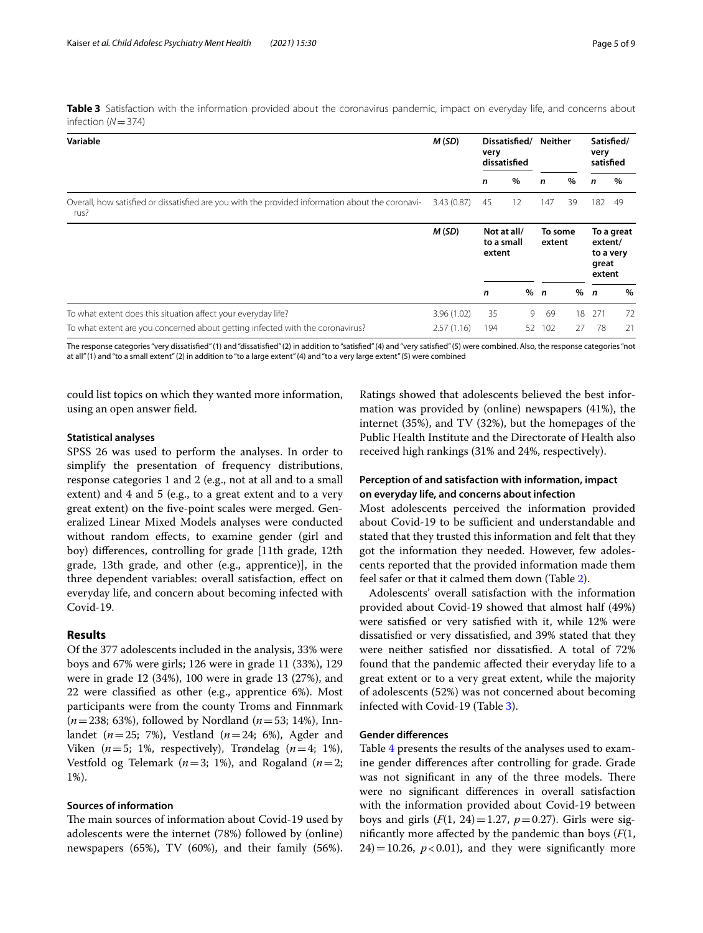<span id="page-4-0"></span>**Table 3** Satisfaction with the information provided about the coronavirus pandemic, impact on everyday life, and concerns about infection (*N*=374)

| Variable                                                                                                 | M(SD)      | Dissatisfied/<br>very<br>dissatisfied |      | <b>Neither</b>    |      | Satisfied/<br>very<br>satisfied                       |      |
|----------------------------------------------------------------------------------------------------------|------------|---------------------------------------|------|-------------------|------|-------------------------------------------------------|------|
|                                                                                                          |            | n                                     | $\%$ | n                 | $\%$ | n                                                     | $\%$ |
| Overall, how satisfied or dissatisfied are you with the provided information about the coronavi-<br>rus? | 3.43(0.87) | 45                                    | 12   | 147               | 39   | 182                                                   | -49  |
|                                                                                                          | M(SD)      | Not at all/<br>to a small<br>extent   |      | To some<br>extent |      | To a great<br>extent/<br>to a very<br>great<br>extent |      |
|                                                                                                          |            | n                                     | %    | $\mathbf{r}$      | %    | $\mathbf n$                                           | $\%$ |
| To what extent does this situation affect your everyday life?                                            | 3.96(1.02) | 35                                    | 9    | 69                | 18   | 271                                                   | 72   |
| To what extent are you concerned about getting infected with the coronavirus?                            | 2.57(1.16) | 194                                   | 52   | 102               | 27   | 78                                                    | 21   |

The response categories "very dissatisfed" (1) and "dissatisfed" (2) in addition to "satisfed" (4) and "very satisfed" (5) were combined. Also, the response categories "not at all" (1) and "to a small extent" (2) in addition to "to a large extent" (4) and "to a very large extent" (5) were combined

could list topics on which they wanted more information, using an open answer feld.

#### **Statistical analyses**

SPSS 26 was used to perform the analyses. In order to simplify the presentation of frequency distributions, response categories 1 and 2 (e.g., not at all and to a small extent) and 4 and 5 (e.g., to a great extent and to a very great extent) on the fve-point scales were merged. Generalized Linear Mixed Models analyses were conducted without random efects, to examine gender (girl and boy) diferences, controlling for grade [11th grade, 12th grade, 13th grade, and other (e.g., apprentice)], in the three dependent variables: overall satisfaction, efect on everyday life, and concern about becoming infected with Covid-19.

#### **Results**

Of the 377 adolescents included in the analysis, 33% were boys and 67% were girls; 126 were in grade 11 (33%), 129 were in grade 12 (34%), 100 were in grade 13 (27%), and 22 were classifed as other (e.g., apprentice 6%). Most participants were from the county Troms and Finnmark (*n*=238; 63%), followed by Nordland (*n*=53; 14%), Innlandet (*n*=25; 7%), Vestland (*n*=24; 6%), Agder and Viken  $(n=5; 1\%$ , respectively), Trøndelag  $(n=4; 1\%)$ , Vestfold og Telemark ( $n=3$ ; 1%), and Rogaland ( $n=2$ ; 1%).

#### **Sources of information**

The main sources of information about Covid-19 used by adolescents were the internet (78%) followed by (online) newspapers (65%), TV (60%), and their family (56%). Ratings showed that adolescents believed the best information was provided by (online) newspapers (41%), the internet (35%), and TV (32%), but the homepages of the Public Health Institute and the Directorate of Health also received high rankings (31% and 24%, respectively).

#### **Perception of and satisfaction with information, impact on everyday life, and concerns about infection**

Most adolescents perceived the information provided about Covid-19 to be sufficient and understandable and stated that they trusted this information and felt that they got the information they needed. However, few adolescents reported that the provided information made them feel safer or that it calmed them down (Table [2\)](#page-3-1).

Adolescents' overall satisfaction with the information provided about Covid-19 showed that almost half (49%) were satisfed or very satisfed with it, while 12% were dissatisfed or very dissatisfed, and 39% stated that they were neither satisfed nor dissatisfed. A total of 72% found that the pandemic afected their everyday life to a great extent or to a very great extent, while the majority of adolescents (52%) was not concerned about becoming infected with Covid-19 (Table [3\)](#page-4-0).

#### **Gender diferences**

Table [4](#page-5-0) presents the results of the analyses used to examine gender diferences after controlling for grade. Grade was not significant in any of the three models. There were no signifcant diferences in overall satisfaction with the information provided about Covid-19 between boys and girls  $(F(1, 24)=1.27, p=0.27)$ . Girls were signifcantly more afected by the pandemic than boys (*F*(1,  $24$ )=10.26,  $p < 0.01$ ), and they were significantly more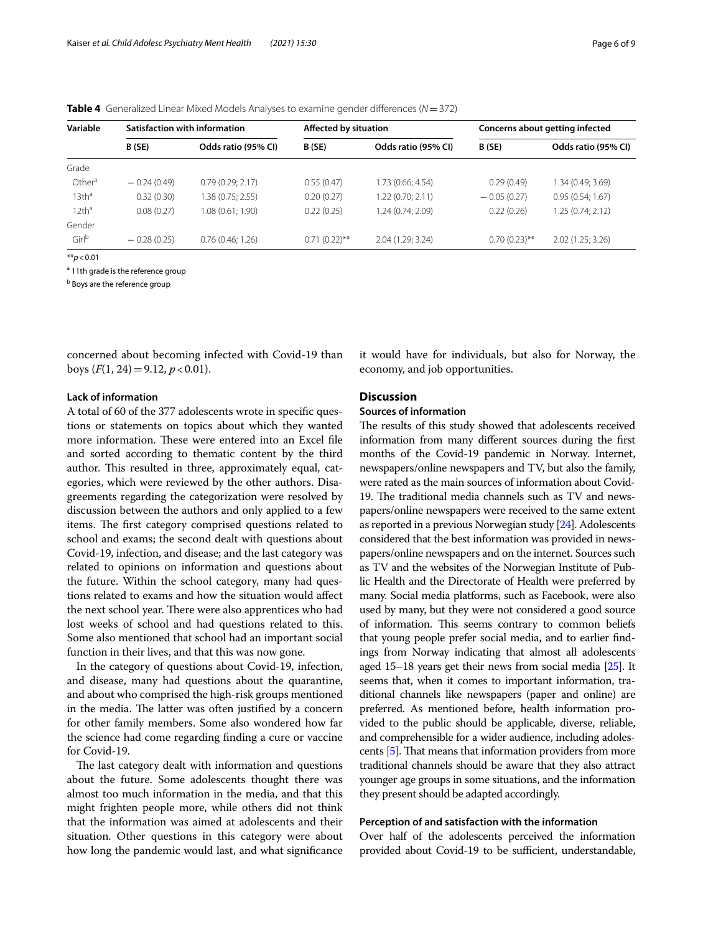<span id="page-5-0"></span>

|  | <b>Table 4</b> Generalized Linear Mixed Models Analyses to examine gender differences ( $N = 372$ ) |  |  |  |
|--|-----------------------------------------------------------------------------------------------------|--|--|--|
|--|-----------------------------------------------------------------------------------------------------|--|--|--|

| Variable           | Satisfaction with information |                     | <b>Affected by situation</b> |                     | Concerns about getting infected |                     |  |
|--------------------|-------------------------------|---------------------|------------------------------|---------------------|---------------------------------|---------------------|--|
|                    | B (SE)                        | Odds ratio (95% CI) | B (SE)                       | Odds ratio (95% CI) | B (SE)                          | Odds ratio (95% CI) |  |
| Grade              |                               |                     |                              |                     |                                 |                     |  |
| Other <sup>a</sup> | $-0.24(0.49)$                 | 0.79(0.29; 2.17)    | 0.55(0.47)                   | 1.73 (0.66; 4.54)   | 0.29(0.49)                      | 1.34 (0.49; 3.69)   |  |
| 13th <sup>a</sup>  | 0.32(0.30)                    | 1.38 (0.75; 2.55)   | 0.20(0.27)                   | 1.22 (0.70; 2.11)   | $-0.05(0.27)$                   | 0.95(0.54; 1.67)    |  |
| 12th <sup>a</sup>  | 0.08(0.27)                    | 1.08(0.61; 1.90)    | 0.22(0.25)                   | 1.24 (0.74; 2.09)   | 0.22(0.26)                      | 1.25(0.74; 2.12)    |  |
| Gender             |                               |                     |                              |                     |                                 |                     |  |
| Girl <sup>b</sup>  | $-0.28(0.25)$                 | 0.76(0.46; 1.26)    | $0.71(0.22)$ **              | 2.04 (1.29; 3.24)   | $0.70(0.23)$ **                 | 2.02(1.25; 3.26)    |  |
| 22.7004            |                               |                     |                              |                     |                                 |                     |  |

\*\**p*<0.01

<sup>a</sup> 11th grade is the reference group

<sup>b</sup> Boys are the reference group

concerned about becoming infected with Covid-19 than boys  $(F(1, 24)=9.12, p<0.01)$ .

#### **Lack of information**

A total of 60 of the 377 adolescents wrote in specifc questions or statements on topics about which they wanted more information. These were entered into an Excel file and sorted according to thematic content by the third author. This resulted in three, approximately equal, categories, which were reviewed by the other authors. Disagreements regarding the categorization were resolved by discussion between the authors and only applied to a few items. The first category comprised questions related to school and exams; the second dealt with questions about Covid-19, infection, and disease; and the last category was related to opinions on information and questions about the future. Within the school category, many had questions related to exams and how the situation would afect the next school year. There were also apprentices who had lost weeks of school and had questions related to this. Some also mentioned that school had an important social function in their lives, and that this was now gone.

In the category of questions about Covid-19, infection, and disease, many had questions about the quarantine, and about who comprised the high-risk groups mentioned in the media. The latter was often justified by a concern for other family members. Some also wondered how far the science had come regarding fnding a cure or vaccine for Covid-19.

The last category dealt with information and questions about the future. Some adolescents thought there was almost too much information in the media, and that this might frighten people more, while others did not think that the information was aimed at adolescents and their situation. Other questions in this category were about how long the pandemic would last, and what signifcance it would have for individuals, but also for Norway, the economy, and job opportunities.

#### **Discussion**

### **Sources of information**

The results of this study showed that adolescents received information from many diferent sources during the frst months of the Covid-19 pandemic in Norway. Internet, newspapers/online newspapers and TV, but also the family, were rated as the main sources of information about Covid-19. The traditional media channels such as TV and newspapers/online newspapers were received to the same extent as reported in a previous Norwegian study [\[24\]](#page-8-21). Adolescents considered that the best information was provided in newspapers/online newspapers and on the internet. Sources such as TV and the websites of the Norwegian Institute of Public Health and the Directorate of Health were preferred by many. Social media platforms, such as Facebook, were also used by many, but they were not considered a good source of information. This seems contrary to common beliefs that young people prefer social media, and to earlier fndings from Norway indicating that almost all adolescents aged 15–18 years get their news from social media [\[25](#page-8-22)]. It seems that, when it comes to important information, traditional channels like newspapers (paper and online) are preferred. As mentioned before, health information provided to the public should be applicable, diverse, reliable, and comprehensible for a wider audience, including adoles-cents [\[5](#page-8-3)]. That means that information providers from more traditional channels should be aware that they also attract younger age groups in some situations, and the information they present should be adapted accordingly.

#### **Perception of and satisfaction with the information**

Over half of the adolescents perceived the information provided about Covid-19 to be sufficient, understandable,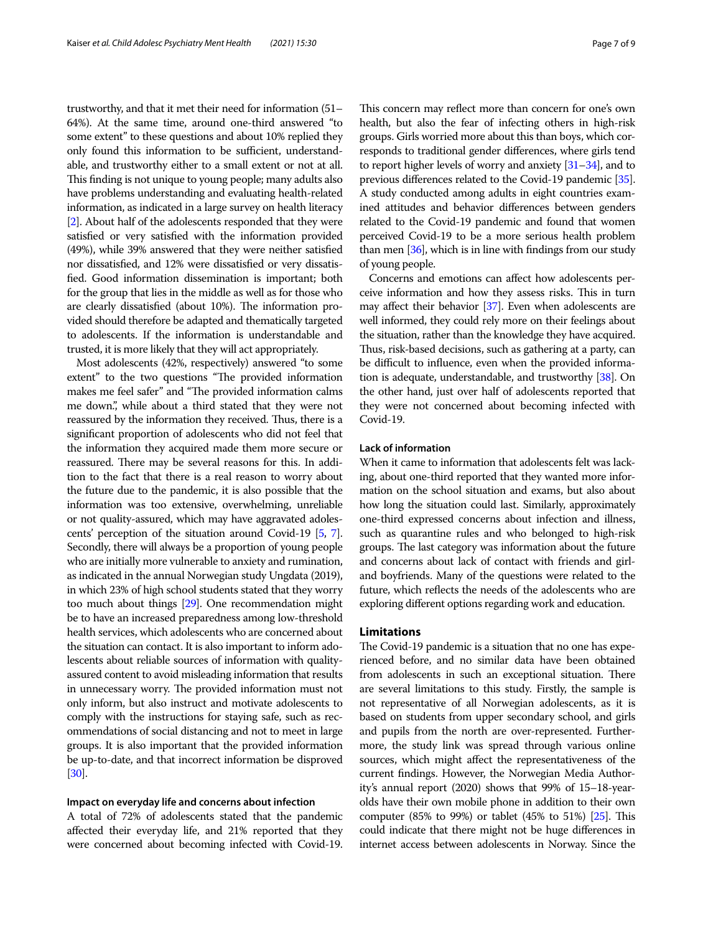trustworthy, and that it met their need for information (51– 64%). At the same time, around one-third answered "to some extent" to these questions and about 10% replied they only found this information to be sufficient, understandable, and trustworthy either to a small extent or not at all. This finding is not unique to young people; many adults also have problems understanding and evaluating health-related information, as indicated in a large survey on health literacy [[2](#page-8-0)]. About half of the adolescents responded that they were satisfed or very satisfed with the information provided (49%), while 39% answered that they were neither satisfed nor dissatisfed, and 12% were dissatisfed or very dissatisfed. Good information dissemination is important; both for the group that lies in the middle as well as for those who are clearly dissatisfied (about 10%). The information provided should therefore be adapted and thematically targeted to adolescents. If the information is understandable and trusted, it is more likely that they will act appropriately.

Most adolescents (42%, respectively) answered "to some extent" to the two questions "The provided information makes me feel safer" and "The provided information calms me down.", while about a third stated that they were not reassured by the information they received. Thus, there is a signifcant proportion of adolescents who did not feel that the information they acquired made them more secure or reassured. There may be several reasons for this. In addition to the fact that there is a real reason to worry about the future due to the pandemic, it is also possible that the information was too extensive, overwhelming, unreliable or not quality-assured, which may have aggravated adolescents' perception of the situation around Covid-19 [\[5,](#page-8-3) [7](#page-8-5)]. Secondly, there will always be a proportion of young people who are initially more vulnerable to anxiety and rumination, as indicated in the annual Norwegian study Ungdata (2019), in which 23% of high school students stated that they worry too much about things [[29](#page-8-26)]. One recommendation might be to have an increased preparedness among low-threshold health services, which adolescents who are concerned about the situation can contact. It is also important to inform adolescents about reliable sources of information with qualityassured content to avoid misleading information that results in unnecessary worry. The provided information must not only inform, but also instruct and motivate adolescents to comply with the instructions for staying safe, such as recommendations of social distancing and not to meet in large groups. It is also important that the provided information be up-to-date, and that incorrect information be disproved [[30](#page-8-27)].

#### **Impact on everyday life and concerns about infection**

A total of 72% of adolescents stated that the pandemic afected their everyday life, and 21% reported that they were concerned about becoming infected with Covid-19. This concern may reflect more than concern for one's own health, but also the fear of infecting others in high-risk groups. Girls worried more about this than boys, which corresponds to traditional gender diferences, where girls tend to report higher levels of worry and anxiety [\[31](#page-8-28)[–34\]](#page-8-29), and to previous diferences related to the Covid-19 pandemic [\[35](#page-8-30)]. A study conducted among adults in eight countries examined attitudes and behavior diferences between genders related to the Covid-19 pandemic and found that women perceived Covid-19 to be a more serious health problem than men [[36](#page-8-31)], which is in line with fndings from our study of young people.

Concerns and emotions can afect how adolescents perceive information and how they assess risks. This in turn may affect their behavior [\[37\]](#page-8-32). Even when adolescents are well informed, they could rely more on their feelings about the situation, rather than the knowledge they have acquired. Thus, risk-based decisions, such as gathering at a party, can be difficult to influence, even when the provided information is adequate, understandable, and trustworthy [\[38\]](#page-8-33). On the other hand, just over half of adolescents reported that they were not concerned about becoming infected with Covid-19.

#### **Lack of information**

When it came to information that adolescents felt was lacking, about one-third reported that they wanted more information on the school situation and exams, but also about how long the situation could last. Similarly, approximately one-third expressed concerns about infection and illness, such as quarantine rules and who belonged to high-risk groups. The last category was information about the future and concerns about lack of contact with friends and girland boyfriends. Many of the questions were related to the future, which refects the needs of the adolescents who are exploring diferent options regarding work and education.

#### **Limitations**

The Covid-19 pandemic is a situation that no one has experienced before, and no similar data have been obtained from adolescents in such an exceptional situation. There are several limitations to this study. Firstly, the sample is not representative of all Norwegian adolescents, as it is based on students from upper secondary school, and girls and pupils from the north are over-represented. Furthermore, the study link was spread through various online sources, which might afect the representativeness of the current fndings. However, the Norwegian Media Authority's annual report (2020) shows that 99% of 15–18-yearolds have their own mobile phone in addition to their own computer (85% to 99%) or tablet (45% to 51%) [\[25\]](#page-8-22). This could indicate that there might not be huge diferences in internet access between adolescents in Norway. Since the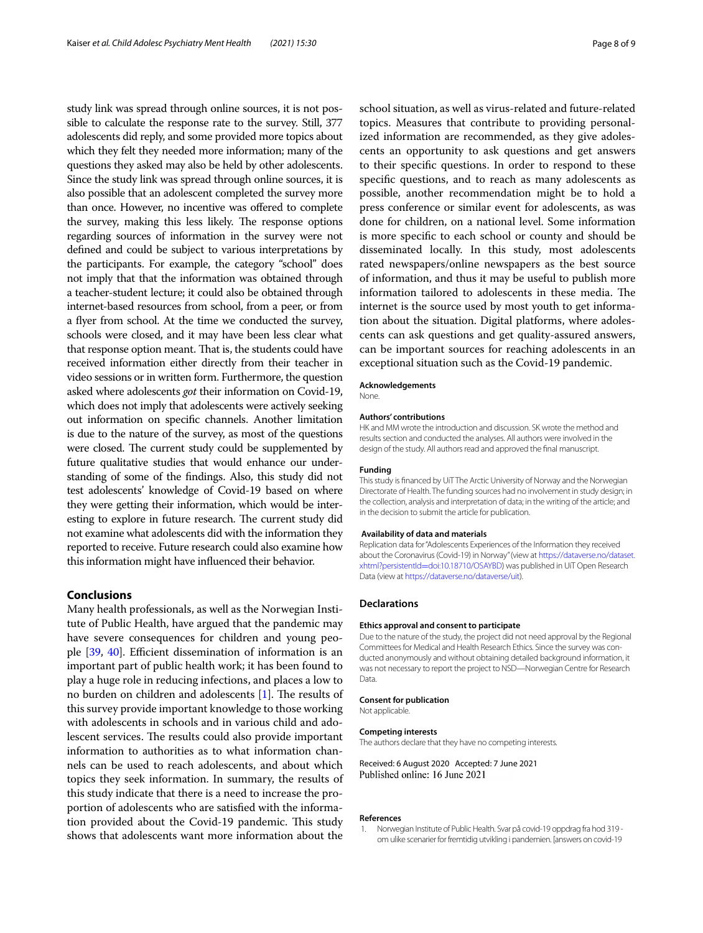study link was spread through online sources, it is not possible to calculate the response rate to the survey. Still, 377 adolescents did reply, and some provided more topics about which they felt they needed more information; many of the questions they asked may also be held by other adolescents. Since the study link was spread through online sources, it is also possible that an adolescent completed the survey more than once. However, no incentive was ofered to complete the survey, making this less likely. The response options regarding sources of information in the survey were not defned and could be subject to various interpretations by the participants. For example, the category "school" does not imply that that the information was obtained through a teacher-student lecture; it could also be obtained through internet-based resources from school, from a peer, or from a fyer from school. At the time we conducted the survey, schools were closed, and it may have been less clear what that response option meant. That is, the students could have received information either directly from their teacher in video sessions or in written form. Furthermore, the question asked where adolescents *got* their information on Covid-19, which does not imply that adolescents were actively seeking out information on specifc channels. Another limitation is due to the nature of the survey, as most of the questions were closed. The current study could be supplemented by future qualitative studies that would enhance our understanding of some of the fndings. Also, this study did not test adolescents' knowledge of Covid-19 based on where they were getting their information, which would be interesting to explore in future research. The current study did not examine what adolescents did with the information they reported to receive. Future research could also examine how this information might have infuenced their behavior.

#### **Conclusions**

Many health professionals, as well as the Norwegian Institute of Public Health, have argued that the pandemic may have severe consequences for children and young peo-ple [[39](#page-8-34), [40\]](#page-8-35). Efficient dissemination of information is an important part of public health work; it has been found to play a huge role in reducing infections, and places a low to no burden on children and adolescents [[1\]](#page-7-0). The results of this survey provide important knowledge to those working with adolescents in schools and in various child and adolescent services. The results could also provide important information to authorities as to what information channels can be used to reach adolescents, and about which topics they seek information. In summary, the results of this study indicate that there is a need to increase the proportion of adolescents who are satisfed with the information provided about the Covid-19 pandemic. This study shows that adolescents want more information about the school situation, as well as virus-related and future-related topics. Measures that contribute to providing personalized information are recommended, as they give adolescents an opportunity to ask questions and get answers to their specifc questions. In order to respond to these specifc questions, and to reach as many adolescents as possible, another recommendation might be to hold a press conference or similar event for adolescents, as was done for children, on a national level. Some information is more specifc to each school or county and should be disseminated locally. In this study, most adolescents rated newspapers/online newspapers as the best source of information, and thus it may be useful to publish more information tailored to adolescents in these media. The internet is the source used by most youth to get information about the situation. Digital platforms, where adolescents can ask questions and get quality-assured answers, can be important sources for reaching adolescents in an exceptional situation such as the Covid-19 pandemic.

#### **Acknowledgements**

None.

#### **Authors' contributions**

HK and MM wrote the introduction and discussion. SK wrote the method and results section and conducted the analyses. All authors were involved in the design of the study. All authors read and approved the fnal manuscript.

#### **Funding**

This study is fnanced by UiT The Arctic University of Norway and the Norwegian Directorate of Health. The funding sources had no involvement in study design; in the collection, analysis and interpretation of data; in the writing of the article; and in the decision to submit the article for publication.

#### **Availability of data and materials**

Replication data for "Adolescents Experiences of the Information they received about the Coronavirus (Covid-19) in Norway" (view at [https://dataverse.no/dataset.](https://dataverse.no/dataset.xhtml?persistentId=doi:10.18710/OSAYBD) xhtml?persistentId=[doi:10.18710/OSAYBD](https://dataverse.no/dataset.xhtml?persistentId=doi:10.18710/OSAYBD)) was published in UiT Open Research Data (view at<https://dataverse.no/dataverse/uit>).

#### **Declarations**

#### **Ethics approval and consent to participate**

Due to the nature of the study, the project did not need approval by the Regional Committees for Medical and Health Research Ethics. Since the survey was conducted anonymously and without obtaining detailed background information, it was not necessary to report the project to NSD—Norwegian Centre for Research Data.

#### **Consent for publication**

Not applicable.

#### **Competing interests**

The authors declare that they have no competing interests.

Received: 6 August 2020 Accepted: 7 June 2021 Published online: 16 June 2021

#### **References**

<span id="page-7-0"></span>1. Norwegian Institute of Public Health. Svar på covid-19 oppdrag fra hod 319 om ulike scenarier for fremtidig utvikling i pandemien. [answers on covid-19